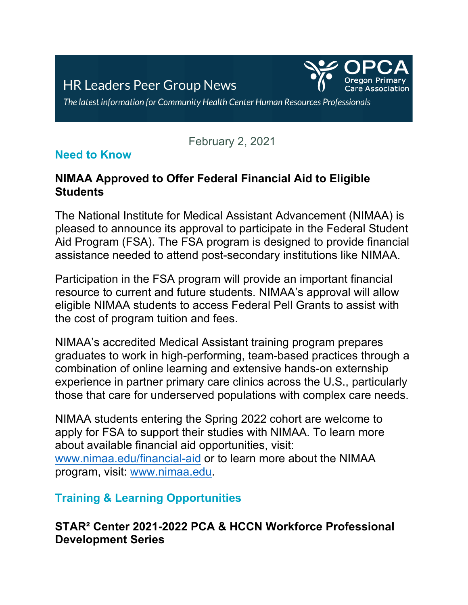

The latest information for Community Health Center Human Resources Professionals

## February 2, 2021

## **Need to Know**

## **NIMAA Approved to Offer Federal Financial Aid to Eligible Students**

The National Institute for Medical Assistant Advancement (NIMAA) is pleased to announce its approval to participate in the Federal Student Aid Program (FSA). The FSA program is designed to provide financial assistance needed to attend post-secondary institutions like NIMAA.

Participation in the FSA program will provide an important financial resource to current and future students. NIMAA's approval will allow eligible NIMAA students to access Federal Pell Grants to assist with the cost of program tuition and fees.

NIMAA's accredited Medical Assistant training program prepares graduates to work in high-performing, team-based practices through a combination of online learning and extensive hands-on externship experience in partner primary care clinics across the U.S., particularly those that care for underserved populations with complex care needs.

NIMAA students entering the Spring 2022 cohort are welcome to apply for FSA to support their studies with NIMAA. To learn more about available financial aid opportunities, visit: [www.nimaa.edu/financial-aid](http://www.nimaa.edu/financial-aid) or to learn more about the NIMAA program, visit: [www.nimaa.edu.](http://www.nimaa.edu/)

## **Training & Learning Opportunities**

#### **STAR² Center 2021-2022 PCA & HCCN Workforce Professional Development Series**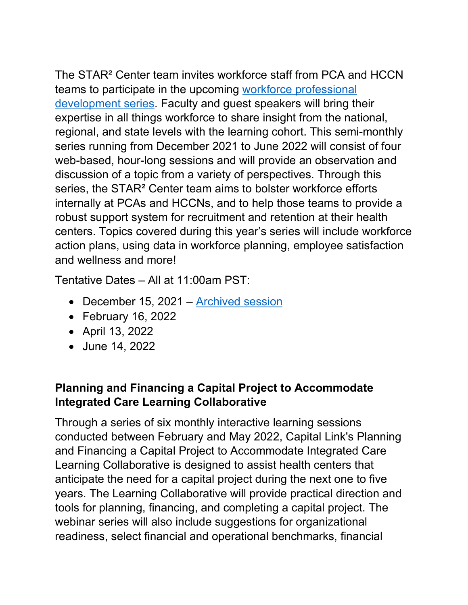The STAR² Center team invites workforce staff from PCA and HCCN teams to participate in the upcoming [workforce professional](https://us02web.zoom.us/meeting/register/tZwvceGprzojG9H5geWj8lTypZw8qf8R7Dw7)  [development series.](https://us02web.zoom.us/meeting/register/tZwvceGprzojG9H5geWj8lTypZw8qf8R7Dw7) Faculty and guest speakers will bring their expertise in all things workforce to share insight from the national, regional, and state levels with the learning cohort. This semi-monthly series running from December 2021 to June 2022 will consist of four web-based, hour-long sessions and will provide an observation and discussion of a topic from a variety of perspectives. Through this series, the STAR² Center team aims to bolster workforce efforts internally at PCAs and HCCNs, and to help those teams to provide a robust support system for recruitment and retention at their health centers. Topics covered during this year's series will include workforce action plans, using data in workforce planning, employee satisfaction and wellness and more!

Tentative Dates – All at 11:00am PST:

- December 15, 2021 [Archived session](https://chcworkforce.org/videos/21-22-pca-hccn-series-session-1/)
- February 16, 2022
- April 13, 2022
- June 14, 2022

# **Planning and Financing a Capital Project to Accommodate Integrated Care Learning Collaborative**

Through a series of six monthly interactive learning sessions conducted between February and May 2022, Capital Link's Planning and Financing a Capital Project to Accommodate Integrated Care Learning Collaborative is designed to assist health centers that anticipate the need for a capital project during the next one to five years. The Learning Collaborative will provide practical direction and tools for planning, financing, and completing a capital project. The webinar series will also include suggestions for organizational readiness, select financial and operational benchmarks, financial